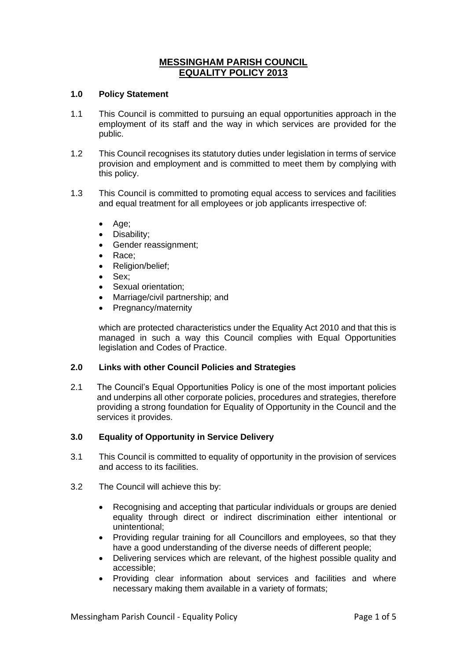# **MESSINGHAM PARISH COUNCIL EQUALITY POLICY 2013**

# **1.0 Policy Statement**

- 1.1 This Council is committed to pursuing an equal opportunities approach in the employment of its staff and the way in which services are provided for the public.
- 1.2 This Council recognises its statutory duties under legislation in terms of service provision and employment and is committed to meet them by complying with this policy.
- 1.3 This Council is committed to promoting equal access to services and facilities and equal treatment for all employees or job applicants irrespective of:
	- Age;
	- Disability;
	- Gender reassignment;
	- Race:
	- Religion/belief;
	- Sex:
	- Sexual orientation;
	- Marriage/civil partnership; and
	- Pregnancy/maternity

which are protected characteristics under the Equality Act 2010 and that this is managed in such a way this Council complies with Equal Opportunities legislation and Codes of Practice.

# **2.0 Links with other Council Policies and Strategies**

2.1 The Council's Equal Opportunities Policy is one of the most important policies and underpins all other corporate policies, procedures and strategies, therefore providing a strong foundation for Equality of Opportunity in the Council and the services it provides.

#### **3.0 Equality of Opportunity in Service Delivery**

- 3.1 This Council is committed to equality of opportunity in the provision of services and access to its facilities.
- 3.2 The Council will achieve this by:
	- Recognising and accepting that particular individuals or groups are denied equality through direct or indirect discrimination either intentional or unintentional;
	- Providing regular training for all Councillors and employees, so that they have a good understanding of the diverse needs of different people;
	- Delivering services which are relevant, of the highest possible quality and accessible;
	- Providing clear information about services and facilities and where necessary making them available in a variety of formats;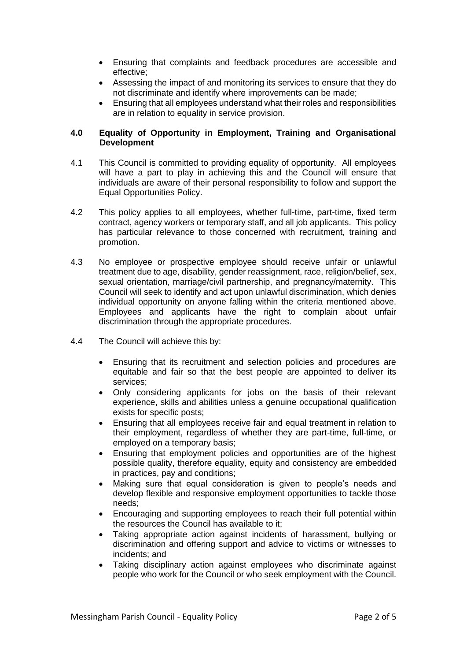- Ensuring that complaints and feedback procedures are accessible and effective;
- Assessing the impact of and monitoring its services to ensure that they do not discriminate and identify where improvements can be made;
- Ensuring that all employees understand what their roles and responsibilities are in relation to equality in service provision.

# **4.0 Equality of Opportunity in Employment, Training and Organisational Development**

- 4.1 This Council is committed to providing equality of opportunity. All employees will have a part to play in achieving this and the Council will ensure that individuals are aware of their personal responsibility to follow and support the Equal Opportunities Policy.
- 4.2 This policy applies to all employees, whether full-time, part-time, fixed term contract, agency workers or temporary staff, and all job applicants. This policy has particular relevance to those concerned with recruitment, training and promotion.
- 4.3 No employee or prospective employee should receive unfair or unlawful treatment due to age, disability, gender reassignment, race, religion/belief, sex, sexual orientation, marriage/civil partnership, and pregnancy/maternity. This Council will seek to identify and act upon unlawful discrimination, which denies individual opportunity on anyone falling within the criteria mentioned above. Employees and applicants have the right to complain about unfair discrimination through the appropriate procedures.
- 4.4 The Council will achieve this by:
	- Ensuring that its recruitment and selection policies and procedures are equitable and fair so that the best people are appointed to deliver its services;
	- Only considering applicants for jobs on the basis of their relevant experience, skills and abilities unless a genuine occupational qualification exists for specific posts;
	- Ensuring that all employees receive fair and equal treatment in relation to their employment, regardless of whether they are part-time, full-time, or employed on a temporary basis;
	- Ensuring that employment policies and opportunities are of the highest possible quality, therefore equality, equity and consistency are embedded in practices, pay and conditions;
	- Making sure that equal consideration is given to people's needs and develop flexible and responsive employment opportunities to tackle those needs;
	- Encouraging and supporting employees to reach their full potential within the resources the Council has available to it;
	- Taking appropriate action against incidents of harassment, bullying or discrimination and offering support and advice to victims or witnesses to incidents; and
	- Taking disciplinary action against employees who discriminate against people who work for the Council or who seek employment with the Council.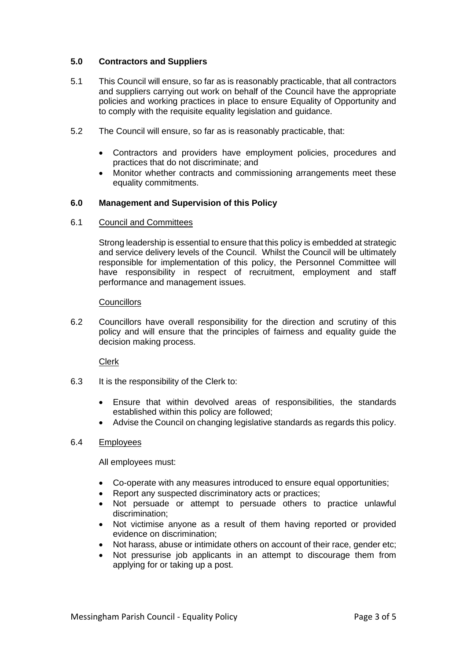# **5.0 Contractors and Suppliers**

- 5.1 This Council will ensure, so far as is reasonably practicable, that all contractors and suppliers carrying out work on behalf of the Council have the appropriate policies and working practices in place to ensure Equality of Opportunity and to comply with the requisite equality legislation and guidance.
- 5.2 The Council will ensure, so far as is reasonably practicable, that:
	- Contractors and providers have employment policies, procedures and practices that do not discriminate; and
	- Monitor whether contracts and commissioning arrangements meet these equality commitments.

# **6.0 Management and Supervision of this Policy**

### 6.1 Council and Committees

Strong leadership is essential to ensure that this policy is embedded at strategic and service delivery levels of the Council. Whilst the Council will be ultimately responsible for implementation of this policy, the Personnel Committee will have responsibility in respect of recruitment, employment and staff performance and management issues.

### **Councillors**

6.2 Councillors have overall responsibility for the direction and scrutiny of this policy and will ensure that the principles of fairness and equality guide the decision making process.

Clerk

- 6.3 It is the responsibility of the Clerk to:
	- Ensure that within devolved areas of responsibilities, the standards established within this policy are followed;
	- Advise the Council on changing legislative standards as regards this policy.

#### 6.4 Employees

All employees must:

- Co-operate with any measures introduced to ensure equal opportunities;
- Report any suspected discriminatory acts or practices;
- Not persuade or attempt to persuade others to practice unlawful discrimination;
- Not victimise anyone as a result of them having reported or provided evidence on discrimination;
- Not harass, abuse or intimidate others on account of their race, gender etc;
- Not pressurise job applicants in an attempt to discourage them from applying for or taking up a post.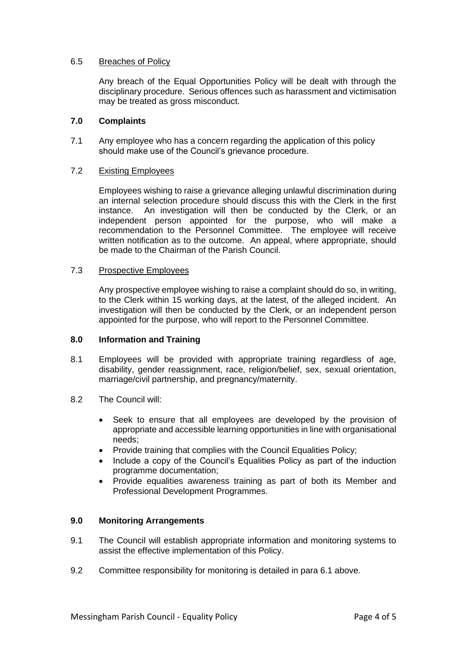### 6.5 Breaches of Policy

Any breach of the Equal Opportunities Policy will be dealt with through the disciplinary procedure. Serious offences such as harassment and victimisation may be treated as gross misconduct.

#### **7.0 Complaints**

7.1 Any employee who has a concern regarding the application of this policy should make use of the Council's grievance procedure.

# 7.2 Existing Employees

Employees wishing to raise a grievance alleging unlawful discrimination during an internal selection procedure should discuss this with the Clerk in the first instance. An investigation will then be conducted by the Clerk, or an independent person appointed for the purpose, who will make a recommendation to the Personnel Committee. The employee will receive written notification as to the outcome. An appeal, where appropriate, should be made to the Chairman of the Parish Council.

### 7.3 Prospective Employees

Any prospective employee wishing to raise a complaint should do so, in writing, to the Clerk within 15 working days, at the latest, of the alleged incident. An investigation will then be conducted by the Clerk, or an independent person appointed for the purpose, who will report to the Personnel Committee.

#### **8.0 Information and Training**

- 8.1 Employees will be provided with appropriate training regardless of age, disability, gender reassignment, race, religion/belief, sex, sexual orientation, marriage/civil partnership, and pregnancy/maternity.
- 8.2 The Council will:
	- Seek to ensure that all employees are developed by the provision of appropriate and accessible learning opportunities in line with organisational needs;
	- Provide training that complies with the Council Equalities Policy;
	- Include a copy of the Council's Equalities Policy as part of the induction programme documentation;
	- Provide equalities awareness training as part of both its Member and Professional Development Programmes.

# **9.0 Monitoring Arrangements**

- 9.1 The Council will establish appropriate information and monitoring systems to assist the effective implementation of this Policy.
- 9.2 Committee responsibility for monitoring is detailed in para 6.1 above.